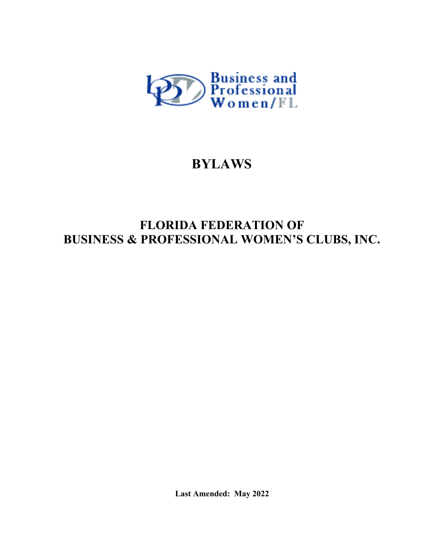

# **BYLAWS**

## **FLORIDA FEDERATION OF BUSINESS & PROFESSIONAL WOMEN'S CLUBS, INC.**

**Last Amended: May 2022**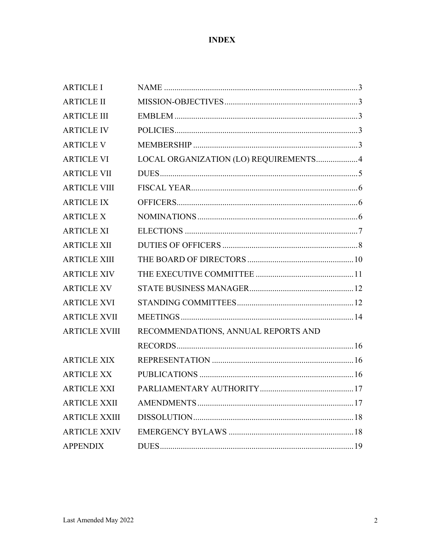## **INDEX**

| <b>ARTICLE I</b>     |                                       |  |
|----------------------|---------------------------------------|--|
| <b>ARTICLE II</b>    |                                       |  |
| <b>ARTICLE III</b>   |                                       |  |
| <b>ARTICLE IV</b>    |                                       |  |
| <b>ARTICLE V</b>     |                                       |  |
| <b>ARTICLE VI</b>    | LOCAL ORGANIZATION (LO) REQUIREMENTS4 |  |
| <b>ARTICLE VII</b>   |                                       |  |
| <b>ARTICLE VIII</b>  |                                       |  |
| <b>ARTICLE IX</b>    |                                       |  |
| <b>ARTICLE X</b>     |                                       |  |
| <b>ARTICLE XI</b>    |                                       |  |
| <b>ARTICLE XII</b>   |                                       |  |
| <b>ARTICLE XIII</b>  |                                       |  |
| <b>ARTICLE XIV</b>   |                                       |  |
| <b>ARTICLE XV</b>    |                                       |  |
| <b>ARTICLE XVI</b>   |                                       |  |
| <b>ARTICLE XVII</b>  |                                       |  |
| <b>ARTICLE XVIII</b> | RECOMMENDATIONS, ANNUAL REPORTS AND   |  |
|                      |                                       |  |
| <b>ARTICLE XIX</b>   |                                       |  |
| <b>ARTICLE XX</b>    |                                       |  |
| <b>ARTICLE XXI</b>   |                                       |  |
| <b>ARTICLE XXII</b>  |                                       |  |
| <b>ARTICLE XXIII</b> |                                       |  |
| <b>ARTICLE XXIV</b>  |                                       |  |
| <b>APPENDIX</b>      |                                       |  |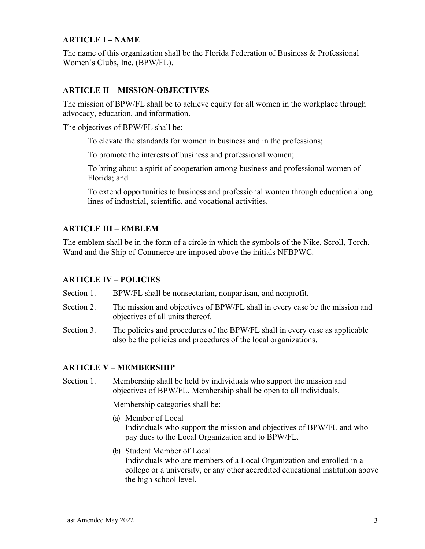## **ARTICLE I – NAME**

The name of this organization shall be the Florida Federation of Business & Professional Women's Clubs, Inc. (BPW/FL).

#### **ARTICLE II – MISSION-OBJECTIVES**

The mission of BPW/FL shall be to achieve equity for all women in the workplace through advocacy, education, and information.

The objectives of BPW/FL shall be:

To elevate the standards for women in business and in the professions;

To promote the interests of business and professional women;

To bring about a spirit of cooperation among business and professional women of Florida; and

To extend opportunities to business and professional women through education along lines of industrial, scientific, and vocational activities.

#### **ARTICLE III – EMBLEM**

The emblem shall be in the form of a circle in which the symbols of the Nike, Scroll, Torch, Wand and the Ship of Commerce are imposed above the initials NFBPWC.

#### **ARTICLE IV – POLICIES**

Section 1. BPW/FL shall be nonsectarian, nonpartisan, and nonprofit.

- Section 2. The mission and objectives of BPW/FL shall in every case be the mission and objectives of all units thereof.
- Section 3. The policies and procedures of the BPW/FL shall in every case as applicable also be the policies and procedures of the local organizations.

#### **ARTICLE V – MEMBERSHIP**

Section 1. Membership shall be held by individuals who support the mission and objectives of BPW/FL. Membership shall be open to all individuals.

Membership categories shall be:

- (a) Member of Local Individuals who support the mission and objectives of BPW/FL and who pay dues to the Local Organization and to BPW/FL.
- (b) Student Member of Local Individuals who are members of a Local Organization and enrolled in a college or a university, or any other accredited educational institution above the high school level.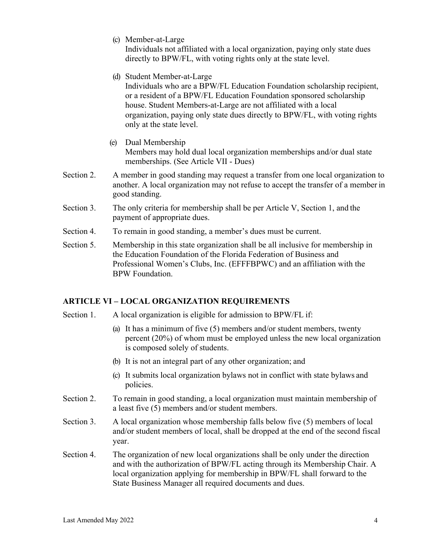(c) Member-at-Large

Individuals not affiliated with a local organization, paying only state dues directly to BPW/FL, with voting rights only at the state level.

(d) Student Member-at-Large

Individuals who are a BPW/FL Education Foundation scholarship recipient, or a resident of a BPW/FL Education Foundation sponsored scholarship house. Student Members-at-Large are not affiliated with a local organization, paying only state dues directly to BPW/FL, with voting rights only at the state level.

- (e) Dual Membership Members may hold dual local organization memberships and/or dual state memberships. (See Article VII - Dues)
- Section 2. A member in good standing may request a transfer from one local organization to another. A local organization may not refuse to accept the transfer of a member in good standing.
- Section 3. The only criteria for membership shall be per Article V, Section 1, and the payment of appropriate dues.
- Section 4. To remain in good standing, a member's dues must be current.
- Section 5. Membership in this state organization shall be all inclusive for membership in the Education Foundation of the Florida Federation of Business and Professional Women's Clubs, Inc. (EFFFBPWC) and an affiliation with the BPW Foundation.

## **ARTICLE VI – LOCAL ORGANIZATION REQUIREMENTS**

- Section 1. A local organization is eligible for admission to BPW/FL if:
	- (a) It has a minimum of five (5) members and/or student members, twenty percent (20%) of whom must be employed unless the new local organization is composed solely of students.
	- (b) It is not an integral part of any other organization; and
	- (c) It submits local organization bylaws not in conflict with state bylaws and policies.
- Section 2. To remain in good standing, a local organization must maintain membership of a least five (5) members and/or student members.
- Section 3. A local organization whose membership falls below five (5) members of local and/or student members of local, shall be dropped at the end of the second fiscal year.
- Section 4. The organization of new local organizations shall be only under the direction and with the authorization of BPW/FL acting through its Membership Chair. A local organization applying for membership in BPW/FL shall forward to the State Business Manager all required documents and dues.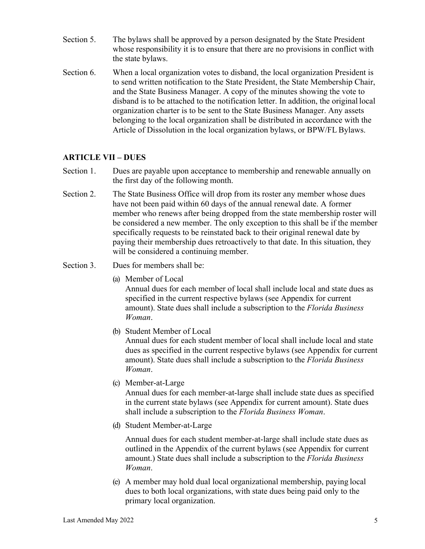- Section 5. The bylaws shall be approved by a person designated by the State President whose responsibility it is to ensure that there are no provisions in conflict with the state bylaws.
- Section 6. When a local organization votes to disband, the local organization President is to send written notification to the State President, the State Membership Chair, and the State Business Manager. A copy of the minutes showing the vote to disband is to be attached to the notification letter. In addition, the original local organization charter is to be sent to the State Business Manager. Any assets belonging to the local organization shall be distributed in accordance with the Article of Dissolution in the local organization bylaws, or BPW/FL Bylaws.

## **ARTICLE VII – DUES**

- Section 1. Dues are payable upon acceptance to membership and renewable annually on the first day of the following month.
- Section 2. The State Business Office will drop from its roster any member whose dues have not been paid within 60 days of the annual renewal date. A former member who renews after being dropped from the state membership roster will be considered a new member. The only exception to this shall be if the member specifically requests to be reinstated back to their original renewal date by paying their membership dues retroactively to that date. In this situation, they will be considered a continuing member.
- Section 3. Dues for members shall be:
	- (a) Member of Local

Annual dues for each member of local shall include local and state dues as specified in the current respective bylaws (see Appendix for current amount). State dues shall include a subscription to the *Florida Business Woman*.

(b) Student Member of Local

Annual dues for each student member of local shall include local and state dues as specified in the current respective bylaws (see Appendix for current amount). State dues shall include a subscription to the *Florida Business Woman*.

(c) Member-at-Large

Annual dues for each member-at-large shall include state dues as specified in the current state bylaws (see Appendix for current amount). State dues shall include a subscription to the *Florida Business Woman*.

(d) Student Member-at-Large

Annual dues for each student member-at-large shall include state dues as outlined in the Appendix of the current bylaws (see Appendix for current amount.) State dues shall include a subscription to the *Florida Business Woman*.

(e) A member may hold dual local organizational membership, paying local dues to both local organizations, with state dues being paid only to the primary local organization.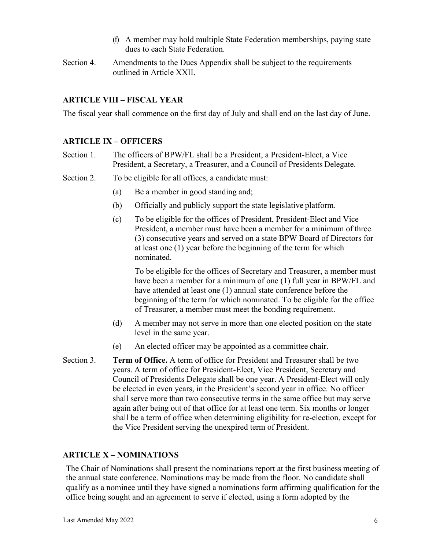- (f) A member may hold multiple State Federation memberships, paying state dues to each State Federation.
- Section 4. Amendments to the Dues Appendix shall be subject to the requirements outlined in Article XXII.

## **ARTICLE VIII – FISCAL YEAR**

The fiscal year shall commence on the first day of July and shall end on the last day of June.

## **ARTICLE IX – OFFICERS**

- Section 1. The officers of BPW/FL shall be a President, a President-Elect, a Vice President, a Secretary, a Treasurer, and a Council of Presidents Delegate.
- Section 2. To be eligible for all offices, a candidate must:
	- (a) Be a member in good standing and;
	- (b) Officially and publicly support the state legislative platform.
	- (c) To be eligible for the offices of President, President-Elect and Vice President, a member must have been a member for a minimum of three (3) consecutive years and served on a state BPW Board of Directors for at least one (1) year before the beginning of the term for which nominated.

To be eligible for the offices of Secretary and Treasurer, a member must have been a member for a minimum of one (1) full year in BPW/FL and have attended at least one (1) annual state conference before the beginning of the term for which nominated. To be eligible for the office of Treasurer, a member must meet the bonding requirement.

- (d) A member may not serve in more than one elected position on the state level in the same year.
- (e) An elected officer may be appointed as a committee chair.
- Section 3. **Term of Office.** A term of office for President and Treasurer shall be two years. A term of office for President-Elect, Vice President, Secretary and Council of Presidents Delegate shall be one year. A President-Elect will only be elected in even years, in the President's second year in office. No officer shall serve more than two consecutive terms in the same office but may serve again after being out of that office for at least one term. Six months or longer shall be a term of office when determining eligibility for re-election, except for the Vice President serving the unexpired term of President.

## **ARTICLE X – NOMINATIONS**

The Chair of Nominations shall present the nominations report at the first business meeting of the annual state conference. Nominations may be made from the floor. No candidate shall qualify as a nominee until they have signed a nominations form affirming qualification for the office being sought and an agreement to serve if elected, using a form adopted by the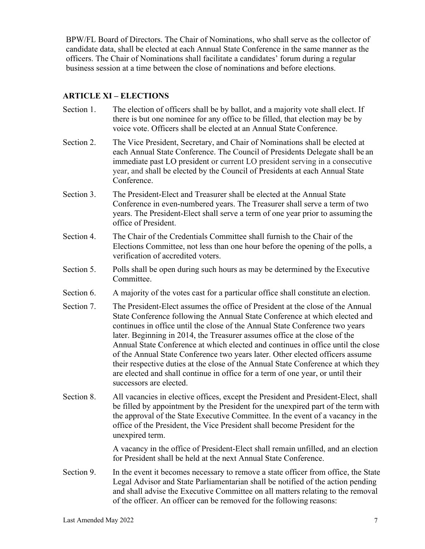BPW/FL Board of Directors. The Chair of Nominations, who shall serve as the collector of candidate data, shall be elected at each Annual State Conference in the same manner as the officers. The Chair of Nominations shall facilitate a candidates' forum during a regular business session at a time between the close of nominations and before elections.

## **ARTICLE XI – ELECTIONS**

- Section 1. The election of officers shall be by ballot, and a majority vote shall elect. If there is but one nominee for any office to be filled, that election may be by voice vote. Officers shall be elected at an Annual State Conference.
- Section 2. The Vice President, Secretary, and Chair of Nominations shall be elected at each Annual State Conference. The Council of Presidents Delegate shall be an immediate past LO president or current LO president serving in a consecutive year, and shall be elected by the Council of Presidents at each Annual State Conference.
- Section 3. The President-Elect and Treasurer shall be elected at the Annual State Conference in even-numbered years. The Treasurer shall serve a term of two years. The President-Elect shall serve a term of one year prior to assuming the office of President.
- Section 4. The Chair of the Credentials Committee shall furnish to the Chair of the Elections Committee, not less than one hour before the opening of the polls, a verification of accredited voters.
- Section 5. Polls shall be open during such hours as may be determined by the Executive Committee.
- Section 6. A majority of the votes cast for a particular office shall constitute an election.
- Section 7. The President-Elect assumes the office of President at the close of the Annual State Conference following the Annual State Conference at which elected and continues in office until the close of the Annual State Conference two years later. Beginning in 2014, the Treasurer assumes office at the close of the Annual State Conference at which elected and continues in office until the close of the Annual State Conference two years later. Other elected officers assume their respective duties at the close of the Annual State Conference at which they are elected and shall continue in office for a term of one year, or until their successors are elected.
- Section 8. All vacancies in elective offices, except the President and President-Elect, shall be filled by appointment by the President for the unexpired part of the term with the approval of the State Executive Committee. In the event of a vacancy in the office of the President, the Vice President shall become President for the unexpired term.

A vacancy in the office of President-Elect shall remain unfilled, and an election for President shall be held at the next Annual State Conference.

Section 9. In the event it becomes necessary to remove a state officer from office, the State Legal Advisor and State Parliamentarian shall be notified of the action pending and shall advise the Executive Committee on all matters relating to the removal of the officer. An officer can be removed for the following reasons: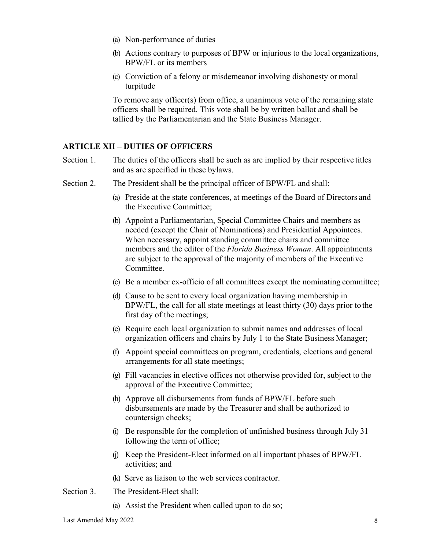- (a) Non-performance of duties
- (b) Actions contrary to purposes of BPW or injurious to the local organizations, BPW/FL or its members
- (c) Conviction of a felony or misdemeanor involving dishonesty or moral turpitude

To remove any officer(s) from office, a unanimous vote of the remaining state officers shall be required. This vote shall be by written ballot and shall be tallied by the Parliamentarian and the State Business Manager.

## **ARTICLE XII – DUTIES OF OFFICERS**

- Section 1. The duties of the officers shall be such as are implied by their respective titles and as are specified in these bylaws.
- Section 2. The President shall be the principal officer of BPW/FL and shall:
	- (a) Preside at the state conferences, at meetings of the Board of Directors and the Executive Committee;
	- (b) Appoint a Parliamentarian, Special Committee Chairs and members as needed (except the Chair of Nominations) and Presidential Appointees. When necessary, appoint standing committee chairs and committee members and the editor of the *Florida Business Woman*. All appointments are subject to the approval of the majority of members of the Executive Committee.
	- (c) Be a member ex-officio of all committees except the nominating committee;
	- (d) Cause to be sent to every local organization having membership in BPW/FL, the call for all state meetings at least thirty (30) days prior to the first day of the meetings;
	- (e) Require each local organization to submit names and addresses of local organization officers and chairs by July 1 to the State Business Manager;
	- (f) Appoint special committees on program, credentials, elections and general arrangements for all state meetings;
	- (g) Fill vacancies in elective offices not otherwise provided for, subject to the approval of the Executive Committee;
	- (h) Approve all disbursements from funds of BPW/FL before such disbursements are made by the Treasurer and shall be authorized to countersign checks;
	- (i) Be responsible for the completion of unfinished business through July 31 following the term of office;
	- (j) Keep the President-Elect informed on all important phases of BPW/FL activities; and
	- (k) Serve as liaison to the web services contractor.
- Section 3. The President-Elect shall:
	- (a) Assist the President when called upon to do so;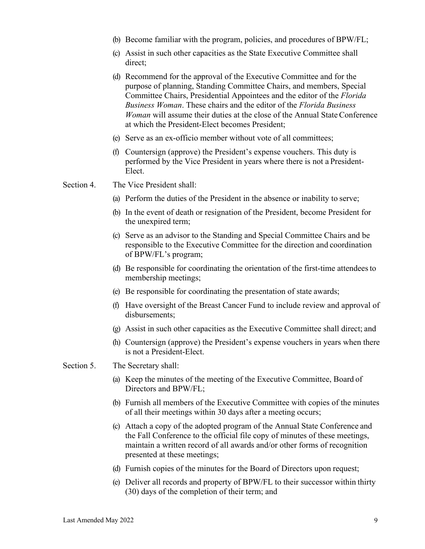- (b) Become familiar with the program, policies, and procedures of BPW/FL;
- (c) Assist in such other capacities as the State Executive Committee shall direct;
- (d) Recommend for the approval of the Executive Committee and for the purpose of planning, Standing Committee Chairs, and members, Special Committee Chairs, Presidential Appointees and the editor of the *Florida Business Woman*. These chairs and the editor of the *Florida Business Woman* will assume their duties at the close of the Annual State Conference at which the President-Elect becomes President;
- (e) Serve as an ex-officio member without vote of all committees;
- (f) Countersign (approve) the President's expense vouchers. This duty is performed by the Vice President in years where there is not a President-Elect.

Section 4. The Vice President shall:

- (a) Perform the duties of the President in the absence or inability to serve;
- (b) In the event of death or resignation of the President, become President for the unexpired term;
- (c) Serve as an advisor to the Standing and Special Committee Chairs and be responsible to the Executive Committee for the direction and coordination of BPW/FL's program;
- (d) Be responsible for coordinating the orientation of the first-time attendeesto membership meetings;
- (e) Be responsible for coordinating the presentation of state awards;
- (f) Have oversight of the Breast Cancer Fund to include review and approval of disbursements;
- (g) Assist in such other capacities as the Executive Committee shall direct; and
- (h) Countersign (approve) the President's expense vouchers in years when there is not a President-Elect.

Section 5. The Secretary shall:

- (a) Keep the minutes of the meeting of the Executive Committee, Board of Directors and BPW/FL;
- (b) Furnish all members of the Executive Committee with copies of the minutes of all their meetings within 30 days after a meeting occurs;
- (c) Attach a copy of the adopted program of the Annual State Conference and the Fall Conference to the official file copy of minutes of these meetings, maintain a written record of all awards and/or other forms of recognition presented at these meetings;
- (d) Furnish copies of the minutes for the Board of Directors upon request;
- (e) Deliver all records and property of BPW/FL to their successor within thirty (30) days of the completion of their term; and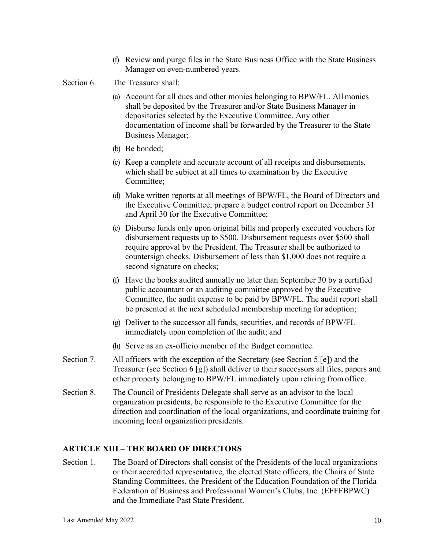- (f) Review and purge files in the State Business Office with the State Business Manager on even-numbered years.
- Section 6. The Treasurer shall:
	- (a) Account for all dues and other monies belonging to BPW/FL. All monies shall be deposited by the Treasurer and/or State Business Manager in depositories selected by the Executive Committee. Any other documentation of income shall be forwarded by the Treasurer to the State Business Manager;
	- (b) Be bonded;
	- (c) Keep a complete and accurate account of all receipts and disbursements, which shall be subject at all times to examination by the Executive Committee;
	- (d) Make written reports at all meetings of BPW/FL, the Board of Directors and the Executive Committee; prepare a budget control report on December 31 and April 30 for the Executive Committee;
	- (e) Disburse funds only upon original bills and properly executed vouchersfor disbursement requests up to \$500. Disbursement requests over \$500 shall require approval by the President. The Treasurer shall be authorized to countersign checks. Disbursement of less than \$1,000 does not require a second signature on checks;
	- (f) Have the books audited annually no later than September 30 by a certified public accountant or an auditing committee approved by the Executive Committee, the audit expense to be paid by BPW/FL. The audit report shall be presented at the next scheduled membership meeting for adoption;
	- (g) Deliver to the successor all funds, securities, and records of BPW/FL immediately upon completion of the audit; and
	- (h) Serve as an ex-officio member of the Budget committee.
- Section 7. All officers with the exception of the Secretary (see Section 5 [e]) and the Treasurer (see Section 6 [g]) shall deliver to their successors all files, papers and other property belonging to BPW/FL immediately upon retiring from office.
- Section 8. The Council of Presidents Delegate shall serve as an advisor to the local organization presidents, be responsible to the Executive Committee for the direction and coordination of the local organizations, and coordinate training for incoming local organization presidents.

#### **ARTICLE XIII – THE BOARD OF DIRECTORS**

Section 1. The Board of Directors shall consist of the Presidents of the local organizations or their accredited representative, the elected State officers, the Chairs of State Standing Committees, the President of the Education Foundation of the Florida Federation of Business and Professional Women's Clubs, Inc. (EFFFBPWC) and the Immediate Past State President.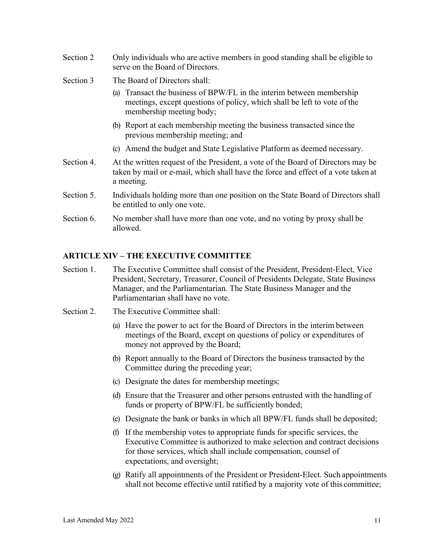- Section 2 Only individuals who are active members in good standing shall be eligible to serve on the Board of Directors.
- Section 3 The Board of Directors shall:
	- (a) Transact the business of BPW/FL in the interim between membership meetings, except questions of policy, which shall be left to vote of the membership meeting body;
	- (b) Report at each membership meeting the business transacted since the previous membership meeting; and
	- (c) Amend the budget and State Legislative Platform as deemed necessary.
- Section 4. At the written request of the President, a vote of the Board of Directors may be taken by mail or e-mail, which shall have the force and effect of a vote taken at a meeting.
- Section 5. Individuals holding more than one position on the State Board of Directors shall be entitled to only one vote.
- Section 6. No member shall have more than one vote, and no voting by proxy shall be allowed.

#### **ARTICLE XIV – THE EXECUTIVE COMMITTEE**

- Section 1. The Executive Committee shall consist of the President, President-Elect, Vice President, Secretary, Treasurer, Council of Presidents Delegate, State Business Manager, and the Parliamentarian. The State Business Manager and the Parliamentarian shall have no vote.
- Section 2. The Executive Committee shall:
	- (a) Have the power to act for the Board of Directors in the interim between meetings of the Board, except on questions of policy or expenditures of money not approved by the Board;
	- (b) Report annually to the Board of Directors the business transacted by the Committee during the preceding year;
	- (c) Designate the dates for membership meetings;
	- (d) Ensure that the Treasurer and other persons entrusted with the handling of funds or property of BPW/FL be sufficiently bonded;
	- (e) Designate the bank or banks in which all BPW/FL funds shall be deposited;
	- (f) If the membership votes to appropriate funds for specific services, the Executive Committee is authorized to make selection and contract decisions for those services, which shall include compensation, counsel of expectations, and oversight;
	- (g) Ratify all appointments of the President or President-Elect. Such appointments shall not become effective until ratified by a majority vote of this committee;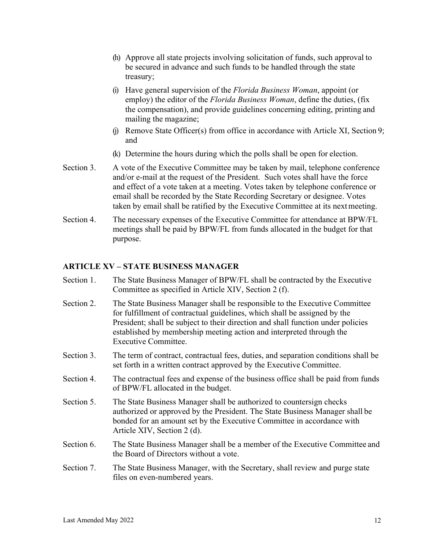- (h) Approve all state projects involving solicitation of funds, such approval to be secured in advance and such funds to be handled through the state treasury;
- (i) Have general supervision of the *Florida Business Woman*, appoint (or employ) the editor of the *Florida Business Woman*, define the duties, (fix the compensation), and provide guidelines concerning editing, printing and mailing the magazine;
- (j) Remove State Officer(s) from office in accordance with Article XI, Section 9; and
- (k) Determine the hours during which the polls shall be open for election.
- Section 3. A vote of the Executive Committee may be taken by mail, telephone conference and/or e-mail at the request of the President. Such votes shall have the force and effect of a vote taken at a meeting. Votes taken by telephone conference or email shall be recorded by the State Recording Secretary or designee. Votes taken by email shall be ratified by the Executive Committee at its nextmeeting.
- Section 4. The necessary expenses of the Executive Committee for attendance at BPW/FL meetings shall be paid by BPW/FL from funds allocated in the budget for that purpose.

#### **ARTICLE XV – STATE BUSINESS MANAGER**

- Section 1. The State Business Manager of BPW/FL shall be contracted by the Executive Committee as specified in Article XIV, Section 2 (f).
- Section 2. The State Business Manager shall be responsible to the Executive Committee for fulfillment of contractual guidelines, which shall be assigned by the President; shall be subject to their direction and shall function under policies established by membership meeting action and interpreted through the Executive Committee.
- Section 3. The term of contract, contractual fees, duties, and separation conditions shall be set forth in a written contract approved by the Executive Committee.
- Section 4. The contractual fees and expense of the business office shall be paid from funds of BPW/FL allocated in the budget.
- Section 5. The State Business Manager shall be authorized to countersign checks authorized or approved by the President. The State Business Manager shall be bonded for an amount set by the Executive Committee in accordance with Article XIV, Section 2 (d).
- Section 6. The State Business Manager shall be a member of the Executive Committee and the Board of Directors without a vote.
- Section 7. The State Business Manager, with the Secretary, shall review and purge state files on even-numbered years.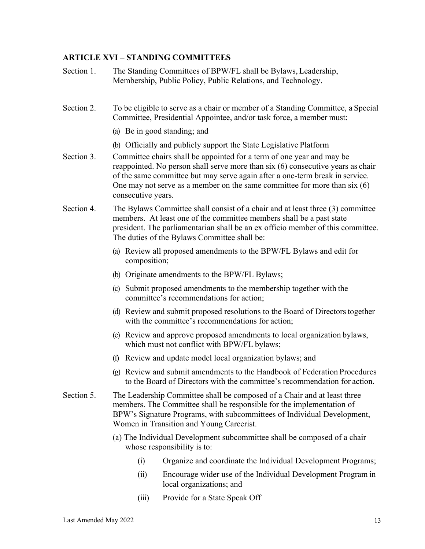#### **ARTICLE XVI – STANDING COMMITTEES**

- Section 1. The Standing Committees of BPW/FL shall be Bylaws, Leadership, Membership, Public Policy, Public Relations, and Technology.
- Section 2. To be eligible to serve as a chair or member of a Standing Committee, a Special Committee, Presidential Appointee, and/or task force, a member must:
	- (a) Be in good standing; and
	- (b) Officially and publicly support the State Legislative Platform
- Section 3. Committee chairs shall be appointed for a term of one year and may be reappointed. No person shall serve more than six (6) consecutive years as chair of the same committee but may serve again after a one-term break in service. One may not serve as a member on the same committee for more than six (6) consecutive years.
- Section 4. The Bylaws Committee shall consist of a chair and at least three (3) committee members. At least one of the committee members shall be a past state president. The parliamentarian shall be an ex officio member of this committee. The duties of the Bylaws Committee shall be:
	- (a) Review all proposed amendments to the BPW/FL Bylaws and edit for composition;
	- (b) Originate amendments to the BPW/FL Bylaws;
	- (c) Submit proposed amendments to the membership together with the committee's recommendations for action;
	- (d) Review and submit proposed resolutions to the Board of Directorstogether with the committee's recommendations for action:
	- (e) Review and approve proposed amendments to local organization bylaws, which must not conflict with BPW/FL bylaws;
	- (f) Review and update model local organization bylaws; and
	- (g) Review and submit amendments to the Handbook of Federation Procedures to the Board of Directors with the committee's recommendation for action.
- Section 5. The Leadership Committee shall be composed of a Chair and at least three members. The Committee shall be responsible for the implementation of BPW's Signature Programs, with subcommittees of Individual Development, Women in Transition and Young Careerist.
	- (a) The Individual Development subcommittee shall be composed of a chair whose responsibility is to:
		- (i) Organize and coordinate the Individual Development Programs;
		- (ii) Encourage wider use of the Individual Development Program in local organizations; and
		- (iii) Provide for a State Speak Off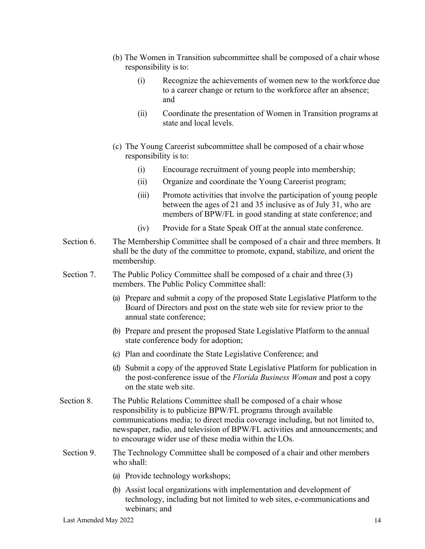- (b) The Women in Transition subcommittee shall be composed of a chair whose responsibility is to:
	- (i) Recognize the achievements of women new to the workforce due to a career change or return to the workforce after an absence; and
	- (ii) Coordinate the presentation of Women in Transition programs at state and local levels.
- (c) The Young Careerist subcommittee shall be composed of a chair whose responsibility is to:
	- (i) Encourage recruitment of young people into membership;
	- (ii) Organize and coordinate the Young Careerist program;
	- (iii) Promote activities that involve the participation of young people between the ages of 21 and 35 inclusive as of July 31, who are members of BPW/FL in good standing at state conference; and
	- (iv) Provide for a State Speak Off at the annual state conference.
- Section 6. The Membership Committee shall be composed of a chair and three members. It shall be the duty of the committee to promote, expand, stabilize, and orient the membership.
- Section 7. The Public Policy Committee shall be composed of a chair and three (3) members. The Public Policy Committee shall:
	- (a) Prepare and submit a copy of the proposed State Legislative Platform to the Board of Directors and post on the state web site for review prior to the annual state conference;
	- (b) Prepare and present the proposed State Legislative Platform to the annual state conference body for adoption;
	- (c) Plan and coordinate the State Legislative Conference; and
	- (d) Submit a copy of the approved State Legislative Platform for publication in the post-conference issue of the *Florida Business Woman* and post a copy on the state web site.
- Section 8. The Public Relations Committee shall be composed of a chair whose responsibility is to publicize BPW/FL programs through available communications media; to direct media coverage including, but not limited to, newspaper, radio, and television of BPW/FL activities and announcements; and to encourage wider use of these media within the LOs.
- Section 9. The Technology Committee shall be composed of a chair and other members who shall:
	- (a) Provide technology workshops;
	- (b) Assist local organizations with implementation and development of technology, including but not limited to web sites, e-communications and webinars; and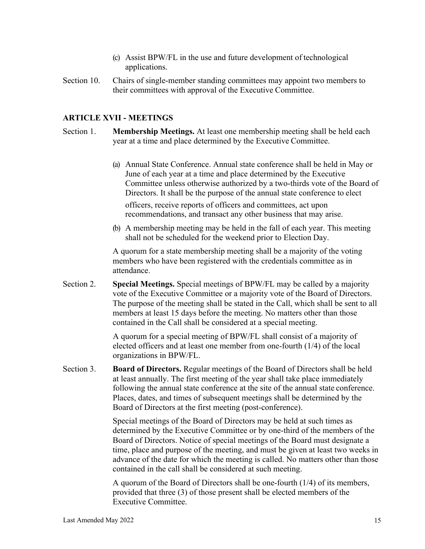- (c) Assist BPW/FL in the use and future development of technological applications.
- Section 10. Chairs of single-member standing committees may appoint two members to their committees with approval of the Executive Committee.

#### **ARTICLE XVII - MEETINGS**

- Section 1. **Membership Meetings.** At least one membership meeting shall be held each year at a time and place determined by the Executive Committee.
	- (a) Annual State Conference. Annual state conference shall be held in May or June of each year at a time and place determined by the Executive Committee unless otherwise authorized by a two-thirds vote of the Board of Directors. It shall be the purpose of the annual state conference to elect officers, receive reports of officers and committees, act upon recommendations, and transact any other business that may arise.
	- (b) A membership meeting may be held in the fall of each year. This meeting shall not be scheduled for the weekend prior to Election Day.

A quorum for a state membership meeting shall be a majority of the voting members who have been registered with the credentials committee as in attendance.

Section 2. **Special Meetings.** Special meetings of BPW/FL may be called by a majority vote of the Executive Committee or a majority vote of the Board of Directors. The purpose of the meeting shall be stated in the Call, which shall be sent to all members at least 15 days before the meeting. No matters other than those contained in the Call shall be considered at a special meeting.

> A quorum for a special meeting of BPW/FL shall consist of a majority of elected officers and at least one member from one-fourth (1/4) of the local organizations in BPW/FL.

Section 3. **Board of Directors.** Regular meetings of the Board of Directors shall be held at least annually. The first meeting of the year shall take place immediately following the annual state conference at the site of the annual state conference. Places, dates, and times of subsequent meetings shall be determined by the Board of Directors at the first meeting (post-conference).

> Special meetings of the Board of Directors may be held at such times as determined by the Executive Committee or by one-third of the members of the Board of Directors. Notice of special meetings of the Board must designate a time, place and purpose of the meeting, and must be given at least two weeks in advance of the date for which the meeting is called. No matters other than those contained in the call shall be considered at such meeting.

A quorum of the Board of Directors shall be one-fourth (1/4) of its members, provided that three (3) of those present shall be elected members of the Executive Committee.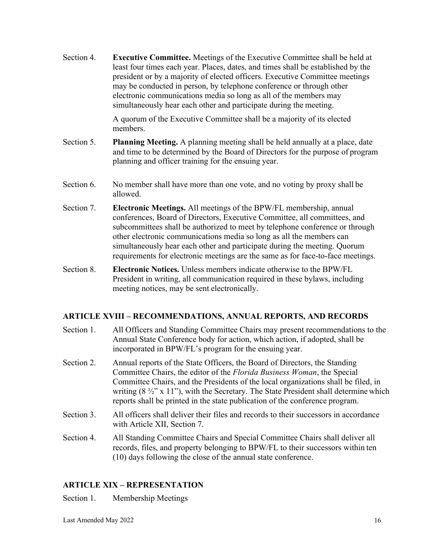Section 4. **Executive Committee.** Meetings of the Executive Committee shall be held at least four times each year. Places, dates, and times shall be established by the president or by a majority of elected officers. Executive Committee meetings may be conducted in person, by telephone conference or through other electronic communications media so long as all of the members may simultaneously hear each other and participate during the meeting.

> A quorum of the Executive Committee shall be a majority of its elected members.

- Section 5. **Planning Meeting.** A planning meeting shall be held annually at a place, date and time to be determined by the Board of Directors for the purpose of program planning and officer training for the ensuing year.
- Section 6. No member shall have more than one vote, and no voting by proxy shall be allowed.
- Section 7. **Electronic Meetings.** All meetings of the BPW/FL membership, annual conferences, Board of Directors, Executive Committee, all committees, and subcommittees shall be authorized to meet by telephone conference or through other electronic communications media so long as all the members can simultaneously hear each other and participate during the meeting. Quorum requirements for electronic meetings are the same as for face-to-face meetings.
- Section 8. **Electronic Notices.** Unless members indicate otherwise to the BPW/FL President in writing, all communication required in these bylaws, including meeting notices, may be sent electronically.

## **ARTICLE XVIII – RECOMMENDATIONS, ANNUAL REPORTS, AND RECORDS**

- Section 1. All Officers and Standing Committee Chairs may present recommendations to the Annual State Conference body for action, which action, if adopted, shall be incorporated in BPW/FL's program for the ensuing year.
- Section 2. Annual reports of the State Officers, the Board of Directors, the Standing Committee Chairs, the editor of the *Florida Business Woman*, the Special Committee Chairs, and the Presidents of the local organizations shall be filed, in writing  $(8 \frac{1}{2}$ " x 11"), with the Secretary. The State President shall determine which reports shall be printed in the state publication of the conference program.
- Section 3. All officers shall deliver their files and records to their successors in accordance with Article XII, Section 7.
- Section 4. All Standing Committee Chairs and Special Committee Chairs shall deliver all records, files, and property belonging to BPW/FL to their successors within ten (10) days following the close of the annual state conference.

## **ARTICLE XIX – REPRESENTATION**

Section 1. Membership Meetings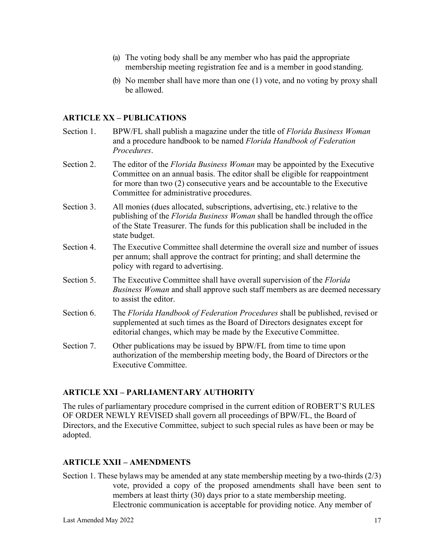- (a) The voting body shall be any member who has paid the appropriate membership meeting registration fee and is a member in good standing.
- (b) No member shall have more than one (1) vote, and no voting by proxy shall be allowed.

## **ARTICLE XX – PUBLICATIONS**

- Section 1. BPW/FL shall publish a magazine under the title of *Florida Business Woman*  and a procedure handbook to be named *Florida Handbook of Federation Procedures*.
- Section 2. The editor of the *Florida Business Woman* may be appointed by the Executive Committee on an annual basis. The editor shall be eligible for reappointment for more than two (2) consecutive years and be accountable to the Executive Committee for administrative procedures.
- Section 3. All monies (dues allocated, subscriptions, advertising, etc.) relative to the publishing of the *Florida Business Woman* shall be handled through the office of the State Treasurer. The funds for this publication shall be included in the state budget.
- Section 4. The Executive Committee shall determine the overall size and number of issues per annum; shall approve the contract for printing; and shall determine the policy with regard to advertising.
- Section 5. The Executive Committee shall have overall supervision of the *Florida Business Woman* and shall approve such staff members as are deemed necessary to assist the editor.
- Section 6. The *Florida Handbook of Federation Procedures* shall be published, revised or supplemented at such times as the Board of Directors designates except for editorial changes, which may be made by the Executive Committee.
- Section 7. Other publications may be issued by BPW/FL from time to time upon authorization of the membership meeting body, the Board of Directors or the Executive Committee.

#### **ARTICLE XXI – PARLIAMENTARY AUTHORITY**

The rules of parliamentary procedure comprised in the current edition of ROBERT'S RULES OF ORDER NEWLY REVISED shall govern all proceedings of BPW/FL, the Board of Directors, and the Executive Committee, subject to such special rules as have been or may be adopted.

#### **ARTICLE XXII – AMENDMENTS**

Section 1. These bylaws may be amended at any state membership meeting by a two-thirds (2/3) vote, provided a copy of the proposed amendments shall have been sent to members at least thirty (30) days prior to a state membership meeting. Electronic communication is acceptable for providing notice. Any member of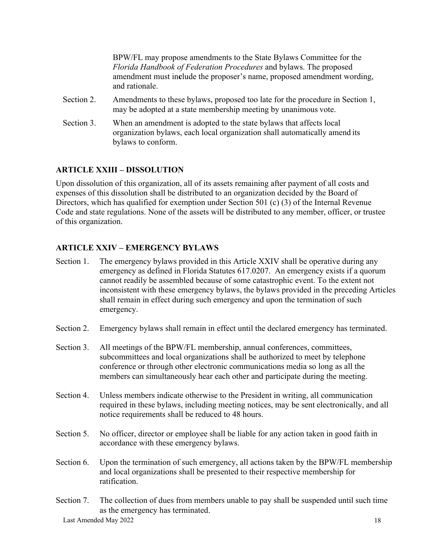BPW/FL may propose amendments to the State Bylaws Committee for the *Florida Handbook of Federation Procedures* and bylaws. The proposed amendment must in**c**lude the proposer's name, proposed amendment wording, and rationale.

- Section 2. Amendments to these bylaws, proposed too late for the procedure in Section 1, may be adopted at a state membership meeting by unanimous vote.
- Section 3. When an amendment is adopted to the state bylaws that affects local organization bylaws, each local organization shall automatically amend its bylaws to conform.

## **ARTICLE XXIII – DISSOLUTION**

Upon dissolution of this organization, all of its assets remaining after payment of all costs and expenses of this dissolution shall be distributed to an organization decided by the Board of Directors, which has qualified for exemption under Section 501 (c) (3) of the Internal Revenue Code and state regulations. None of the assets will be distributed to any member, officer, or trustee of this organization.

## **ARTICLE XXIV – EMERGENCY BYLAWS**

- Section 1. The emergency bylaws provided in this Article XXIV shall be operative during any emergency as defined in Florida Statutes 617.0207. An emergency exists if a quorum cannot readily be assembled because of some catastrophic event. To the extent not inconsistent with these emergency bylaws, the bylaws provided in the preceding Articles shall remain in effect during such emergency and upon the termination of such emergency.
- Section 2. Emergency bylaws shall remain in effect until the declared emergency has terminated.
- Section 3. All meetings of the BPW/FL membership, annual conferences, committees, subcommittees and local organizations shall be authorized to meet by telephone conference or through other electronic communications media so long as all the members can simultaneously hear each other and participate during the meeting.
- Section 4. Unless members indicate otherwise to the President in writing, all communication required in these bylaws, including meeting notices, may be sent electronically, and all notice requirements shall be reduced to 48 hours.
- Section 5. No officer, director or employee shall be liable for any action taken in good faith in accordance with these emergency bylaws.
- Section 6. Upon the termination of such emergency, all actions taken by the BPW/FL membership and local organizations shall be presented to their respective membership for ratification.
- Section 7. The collection of dues from members unable to pay shall be suspended until such time as the emergency has terminated.